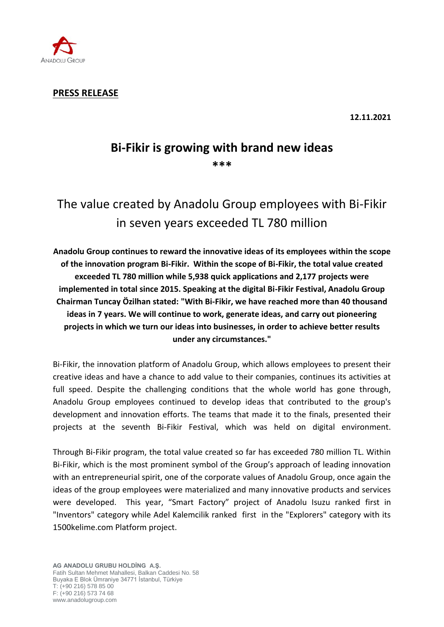

**PRESS RELEASE**

**12.11.2021**

# **Bi-Fikir is growing with brand new ideas \*\*\***

The value created by Anadolu Group employees with Bi-Fikir in seven years exceeded TL 780 million

**Anadolu Group continues to reward the innovative ideas of its employees within the scope of the innovation program Bi-Fikir. Within the scope of Bi-Fikir, the total value created exceeded TL 780 million while 5,938 quick applications and 2,177 projects were implemented in total since 2015. Speaking at the digital Bi-Fikir Festival, Anadolu Group Chairman Tuncay Özilhan stated: "With Bi-Fikir, we have reached more than 40 thousand ideas in 7 years. We will continue to work, generate ideas, and carry out pioneering projects in which we turn our ideas into businesses, in order to achieve better results under any circumstances."** 

Bi-Fikir, the innovation platform of Anadolu Group, which allows employees to present their creative ideas and have a chance to add value to their companies, continues its activities at full speed. Despite the challenging conditions that the whole world has gone through, Anadolu Group employees continued to develop ideas that contributed to the group's development and innovation efforts. The teams that made it to the finals, presented their projects at the seventh Bi-Fikir Festival, which was held on digital environment.

Through Bi-Fikir program, the total value created so far has exceeded 780 million TL. Within Bi-Fikir, which is the most prominent symbol of the Group's approach of leading innovation with an entrepreneurial spirit, one of the corporate values of Anadolu Group, once again the ideas of the group employees were materialized and many innovative products and services were developed. This year, "Smart Factory" project of Anadolu Isuzu ranked first in "Inventors" category while Adel Kalemcilik ranked first in the "Explorers" category with its 1500kelime.com Platform project.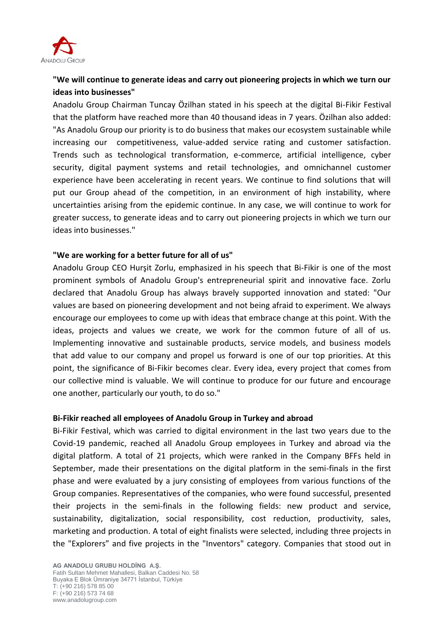

## **"We will continue to generate ideas and carry out pioneering projects in which we turn our ideas into businesses"**

Anadolu Group Chairman Tuncay Özilhan stated in his speech at the digital Bi-Fikir Festival that the platform have reached more than 40 thousand ideas in 7 years. Özilhan also added: "As Anadolu Group our priority is to do business that makes our ecosystem sustainable while increasing our competitiveness, value-added service rating and customer satisfaction. Trends such as technological transformation, e-commerce, artificial intelligence, cyber security, digital payment systems and retail technologies, and omnichannel customer experience have been accelerating in recent years. We continue to find solutions that will put our Group ahead of the competition, in an environment of high instability, where uncertainties arising from the epidemic continue. In any case, we will continue to work for greater success, to generate ideas and to carry out pioneering projects in which we turn our ideas into businesses."

## **"We are working for a better future for all of us"**

Anadolu Group CEO Hurşit Zorlu, emphasized in his speech that Bi-Fikir is one of the most prominent symbols of Anadolu Group's entrepreneurial spirit and innovative face. Zorlu declared that Anadolu Group has always bravely supported innovation and stated: "Our values are based on pioneering development and not being afraid to experiment. We always encourage our employees to come up with ideas that embrace change at this point. With the ideas, projects and values we create, we work for the common future of all of us. Implementing innovative and sustainable products, service models, and business models that add value to our company and propel us forward is one of our top priorities. At this point, the significance of Bi-Fikir becomes clear. Every idea, every project that comes from our collective mind is valuable. We will continue to produce for our future and encourage one another, particularly our youth, to do so."

### **Bi-Fikir reached all employees of Anadolu Group in Turkey and abroad**

Bi-Fikir Festival, which was carried to digital environment in the last two years due to the Covid-19 pandemic, reached all Anadolu Group employees in Turkey and abroad via the digital platform. A total of 21 projects, which were ranked in the Company BFFs held in September, made their presentations on the digital platform in the semi-finals in the first phase and were evaluated by a jury consisting of employees from various functions of the Group companies. Representatives of the companies, who were found successful, presented their projects in the semi-finals in the following fields: new product and service, sustainability, digitalization, social responsibility, cost reduction, productivity, sales, marketing and production. A total of eight finalists were selected, including three projects in the "Explorers" and five projects in the "Inventors" category. Companies that stood out in